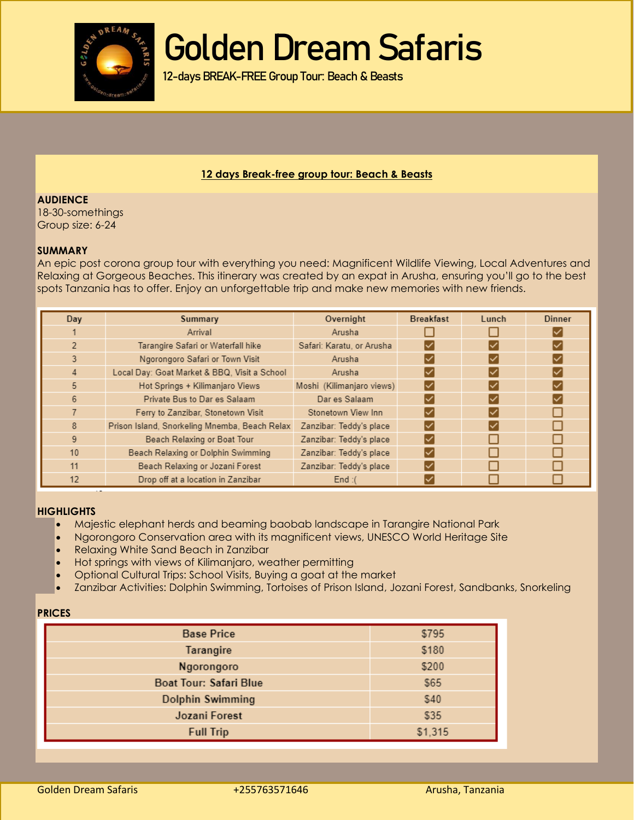

12-days BREAK-FREE Group Tour: Beach & Beasts

#### **12 days Break-free group tour: Beach & Beasts**

**AUDIENCE** 18-30-somethings Group size: 6-24

#### **SUMMARY**

An epic post corona group tour with everything you need: Magnificent Wildlife Viewing, Local Adventures and Relaxing at Gorgeous Beaches. This itinerary was created by an expat in Arusha, ensuring you'll go to the best spots Tanzania has to offer. Enjoy an unforgettable trip and make new memories with new friends.

| Day            | Summary                                       | Overnight                 | <b>Breakfast</b> | Lunch | <b>Dinner</b> |
|----------------|-----------------------------------------------|---------------------------|------------------|-------|---------------|
|                | Arrival                                       | Arusha                    |                  |       |               |
| $\overline{2}$ | Tarangire Safari or Waterfall hike            | Safari: Karatu, or Arusha |                  |       |               |
| 3              | Ngorongoro Safari or Town Visit               | Arusha                    |                  |       |               |
| 4              | Local Day: Goat Market & BBQ, Visit a School  | Arusha                    |                  |       |               |
| 5              | Hot Springs + Kilimanjaro Views               | Moshi (Kilimanjaro views) | ∣✓               |       |               |
| 6              | Private Bus to Dar es Salaam                  | Dar es Salaam             |                  |       |               |
|                | Ferry to Zanzibar, Stonetown Visit            | Stonetown View Inn        |                  |       |               |
| 8              | Prison Island, Snorkeling Mnemba, Beach Relax | Zanzibar: Teddy's place   |                  |       |               |
| 9              | Beach Relaxing or Boat Tour                   | Zanzibar: Teddy's place   |                  |       |               |
| 10             | Beach Relaxing or Dolphin Swimming            | Zanzibar: Teddy's place   |                  |       |               |
| 11             | Beach Relaxing or Jozani Forest               | Zanzibar: Teddy's place   |                  |       |               |
| 12             | Drop off at a location in Zanzibar            | End: $($                  |                  |       |               |

#### **HIGHLIGHTS**

- Majestic elephant herds and beaming baobab landscape in Tarangire National Park
- Ngorongoro Conservation area with its magnificent views, UNESCO World Heritage Site
- Relaxing White Sand Beach in Zanzibar
- Hot springs with views of Kilimanjaro, weather permitting
- Optional Cultural Trips: School Visits, Buying a goat at the market
- Zanzibar Activities: Dolphin Swimming, Tortoises of Prison Island, Jozani Forest, Sandbanks, Snorkeling

#### **PRICES**

| <b>Base Price</b>             | \$795   |  |
|-------------------------------|---------|--|
| Tarangire                     | \$180   |  |
| Ngorongoro                    | \$200   |  |
| <b>Boat Tour: Safari Blue</b> | \$65    |  |
| <b>Dolphin Swimming</b>       | \$40    |  |
| Jozani Forest                 | \$35    |  |
| <b>Full Trip</b>              | \$1,315 |  |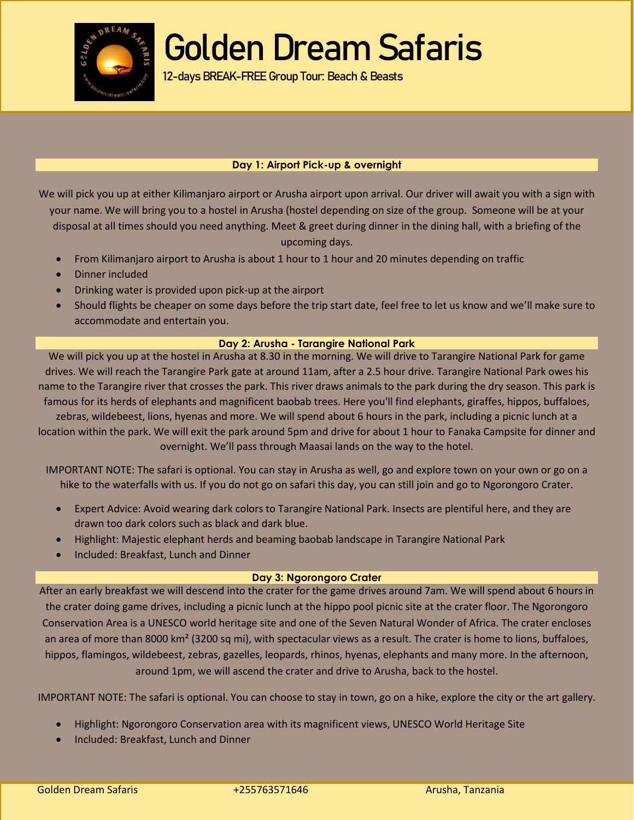

12-days BREAK-FREE Group Tour: Beach & Beasts

### **Day 1: Airport Pick-up & overnight**

We will pick you up at either Kilimanjaro airport or Arusha airport upon arrival. Our driver will await you with a sign with your name. We will bring you to a hostel in Arusha (hostel depending on size of the group. Someone will be at your disposal at all times should you need anything. Meet & greet during dinner in the dining hall, with a briefing of the

upcoming days.

- From Kilimanjaro airport to Arusha is about 1 hour to 1 hour and 20 minutes depending on traffic
- Dinner included
- Drinking water is provided upon pick-up at the airport
- Should flights be cheaper on some days before the trip start date, feel free to let us know and we'll make sure to accommodate and entertain you.

#### **Day 2: Arusha - Tarangire National Park**

We will pick you up at the hostel in Arusha at 8.30 in the morning. We will drive to Tarangire National Park for game drives. We will reach the Tarangire Park gate at around 11am, after a 2.5 hour drive. Tarangire National Park owes his name to the Tarangire river that crosses the park. This river draws animals to the park during the dry season. This park is famous for its herds of elephants and magnificent baobab trees. Here you'll find elephants, giraffes, hippos, buffaloes, zebras, wildebeest, lions, hyenas and more. We will spend about 6 hours in the park, including a picnic lunch at a location within the park. We will exit the park around 5pm and drive for about 1 hour to Fanaka Campsite for dinner and overnight. We'll pass through Maasai lands on the way to the hotel.

IMPORTANT NOTE: The safari is optional. You can stay in Arusha as well, go and explore town on your own or go on a hike to the waterfalls with us. If you do not go on safari this day, you can still join and go to Ngorongoro Crater.

- Expert Advice: Avoid wearing dark colors to Tarangire National Park. Insects are plentiful here, and they are drawn too dark colors such as black and dark blue.
- Highlight: Majestic elephant herds and beaming baobab landscape in Tarangire National Park
- Included: Breakfast, Lunch and Dinner

### **Day 3: Ngorongoro Crater**

After an early breakfast we will descend into the crater for the game drives around 7am. We will spend about 6 hours in the crater doing game drives, including a picnic lunch at the hippo pool picnic site at the crater floor. The Ngorongoro Conservation Area is a UNESCO world heritage site and one of the Seven Natural Wonder of Africa. The crater encloses an area of more than 8000 km<sup>2</sup> (3200 sq mi), with spectacular views as a result. The crater is home to lions, buffaloes, hippos, flamingos, wildebeest, zebras, gazelles, leopards, rhinos, hyenas, elephants and many more. In the afternoon, around 1pm, we will ascend the crater and drive to Arusha, back to the hostel.

IMPORTANT NOTE: The safari is optional. You can choose to stay in town, go on a hike, explore the city or the art gallery.

- Highlight: Ngorongoro Conservation area with its magnificent views, UNESCO World Heritage Site
- Included: Breakfast, Lunch and Dinner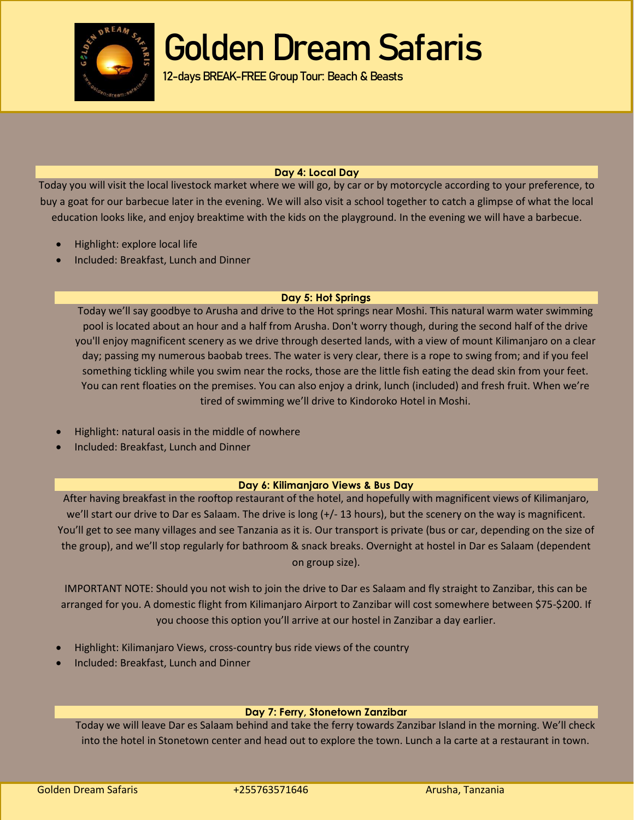

12-days BREAK-FREE Group Tour: Beach & Beasts

### **Day 4: Local Day**

Today you will visit the local livestock market where we will go, by car or by motorcycle according to your preference, to buy a goat for our barbecue later in the evening. We will also visit a school together to catch a glimpse of what the local education looks like, and enjoy breaktime with the kids on the playground. In the evening we will have a barbecue.

- Highlight: explore local life
- Included: Breakfast, Lunch and Dinner

#### **Day 5: Hot Springs**

Today we'll say goodbye to Arusha and drive to the Hot springs near Moshi. This natural warm water swimming pool is located about an hour and a half from Arusha. Don't worry though, during the second half of the drive you'll enjoy magnificent scenery as we drive through deserted lands, with a view of mount Kilimanjaro on a clear day; passing my numerous baobab trees. The water is very clear, there is a rope to swing from; and if you feel something tickling while you swim near the rocks, those are the little fish eating the dead skin from your feet. You can rent floaties on the premises. You can also enjoy a drink, lunch (included) and fresh fruit. When we're tired of swimming we'll drive to Kindoroko Hotel in Moshi.

- Highlight: natural oasis in the middle of nowhere
- Included: Breakfast, Lunch and Dinner

#### **Day 6: Kilimanjaro Views & Bus Day**

After having breakfast in the rooftop restaurant of the hotel, and hopefully with magnificent views of Kilimanjaro, we'll start our drive to Dar es Salaam. The drive is long (+/- 13 hours), but the scenery on the way is magnificent. You'll get to see many villages and see Tanzania as it is. Our transport is private (bus or car, depending on the size of the group), and we'll stop regularly for bathroom & snack breaks. Overnight at hostel in Dar es Salaam (dependent on group size).

IMPORTANT NOTE: Should you not wish to join the drive to Dar es Salaam and fly straight to Zanzibar, this can be arranged for you. A domestic flight from Kilimanjaro Airport to Zanzibar will cost somewhere between \$75-\$200. If you choose this option you'll arrive at our hostel in Zanzibar a day earlier.

- Highlight: Kilimanjaro Views, cross-country bus ride views of the country
- Included: Breakfast, Lunch and Dinner

#### **Day 7: Ferry, Stonetown Zanzibar**

Today we will leave Dar es Salaam behind and take the ferry towards Zanzibar Island in the morning. We'll check into the hotel in Stonetown center and head out to explore the town. Lunch a la carte at a restaurant in town.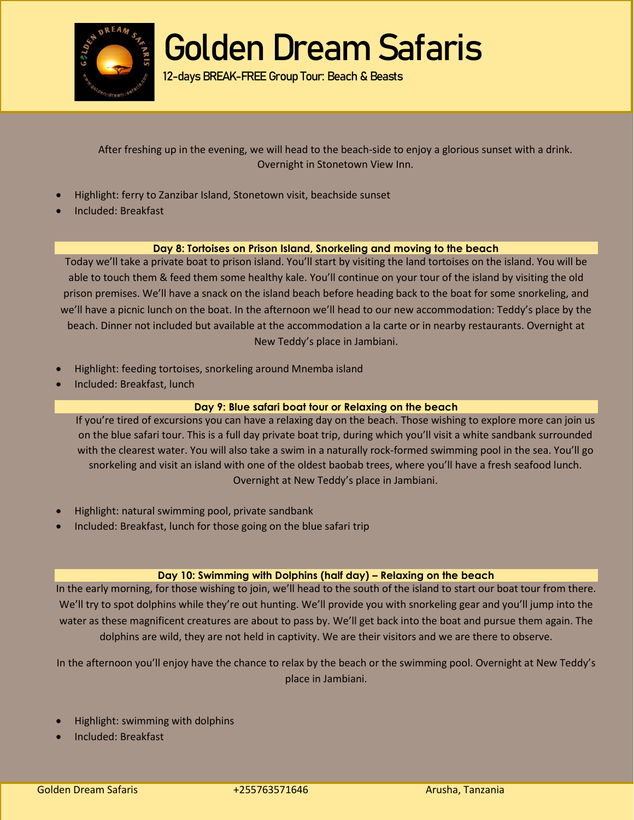

12-days BREAK-FREE Group Tour: Beach & Beasts

After freshing up in the evening, we will head to the beach-side to enjoy a glorious sunset with a drink. Overnight in Stonetown View Inn.

- Highlight: ferry to Zanzibar Island, Stonetown visit, beachside sunset
- Included: Breakfast

#### **Day 8: Tortoises on Prison Island, Snorkeling and moving to the beach**

Today we'll take a private boat to prison island. You'll start by visiting the land tortoises on the island. You will be able to touch them & feed them some healthy kale. You'll continue on your tour of the island by visiting the old prison premises. We'll have a snack on the island beach before heading back to the boat for some snorkeling, and we'll have a picnic lunch on the boat. In the afternoon we'll head to our new accommodation: Teddy's place by the beach. Dinner not included but available at the accommodation a la carte or in nearby restaurants. Overnight at New Teddy's place in Jambiani.

- Highlight: feeding tortoises, snorkeling around Mnemba island
- Included: Breakfast, lunch

#### **Day 9: Blue safari boat tour or Relaxing on the beach**

If you're tired of excursions you can have a relaxing day on the beach. Those wishing to explore more can join us on the blue safari tour. This is a full day private boat trip, during which you'll visit a white sandbank surrounded with the clearest water. You will also take a swim in a naturally rock-formed swimming pool in the sea. You'll go snorkeling and visit an island with one of the oldest baobab trees, where you'll have a fresh seafood lunch. Overnight at New Teddy's place in Jambiani.

- Highlight: natural swimming pool, private sandbank
- Included: Breakfast, lunch for those going on the blue safari trip

#### **Day 10: Swimming with Dolphins (half day) – Relaxing on the beach**

In the early morning, for those wishing to join, we'll head to the south of the island to start our boat tour from there. We'll try to spot dolphins while they're out hunting. We'll provide you with snorkeling gear and you'll jump into the water as these magnificent creatures are about to pass by. We'll get back into the boat and pursue them again. The dolphins are wild, they are not held in captivity. We are their visitors and we are there to observe.

In the afternoon you'll enjoy have the chance to relax by the beach or the swimming pool. Overnight at New Teddy's place in Jambiani.

- Highlight: swimming with dolphins
- Included: Breakfast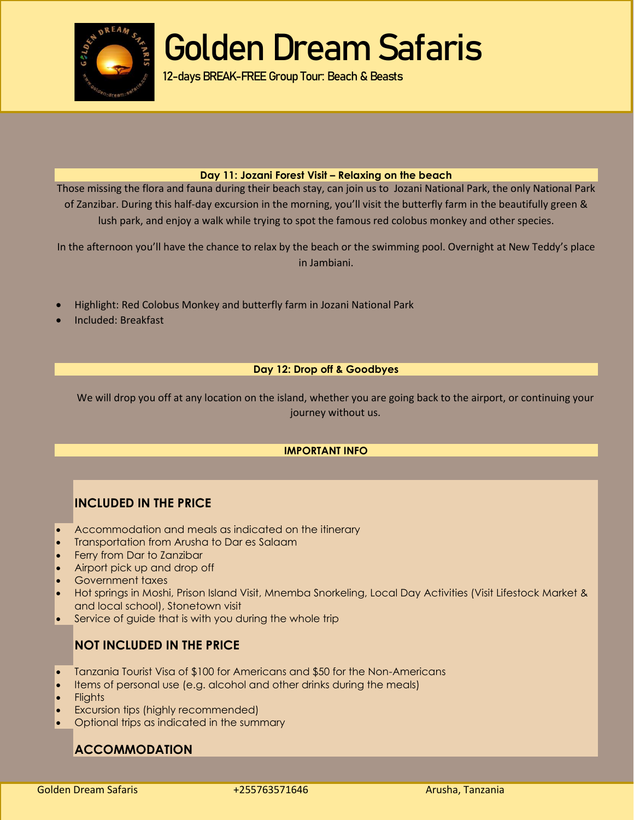

12-days BREAK-FREE Group Tour: Beach & Beasts

#### **Day 11: Jozani Forest Visit – Relaxing on the beach**

Those missing the flora and fauna during their beach stay, can join us to Jozani National Park, the only National Park of Zanzibar. During this half-day excursion in the morning, you'll visit the butterfly farm in the beautifully green & lush park, and enjoy a walk while trying to spot the famous red colobus monkey and other species.

In the afternoon you'll have the chance to relax by the beach or the swimming pool. Overnight at New Teddy's place in Jambiani.

- Highlight: Red Colobus Monkey and butterfly farm in Jozani National Park
- Included: Breakfast

### **Day 12: Drop off & Goodbyes**

We will drop you off at any location on the island, whether you are going back to the airport, or continuing your journey without us.

#### **IMPORTANT INFO**

## **INCLUDED IN THE PRICE**

- Accommodation and meals as indicated on the itinerary
- Transportation from Arusha to Dar es Salaam
- Ferry from Dar to Zanzibar
- Airport pick up and drop off
- Government taxes
- Hot springs in Moshi, Prison Island Visit, Mnemba Snorkeling, Local Day Activities (Visit Lifestock Market & and local school), Stonetown visit
- Service of guide that is with you during the whole trip

## **NOT INCLUDED IN THE PRICE**

- Tanzania Tourist Visa of \$100 for Americans and \$50 for the Non-Americans
- Items of personal use (e.g. alcohol and other drinks during the meals)
- **Flights**
- Excursion tips (highly recommended)
- Optional trips as indicated in the summary

## **ACCOMMODATION**